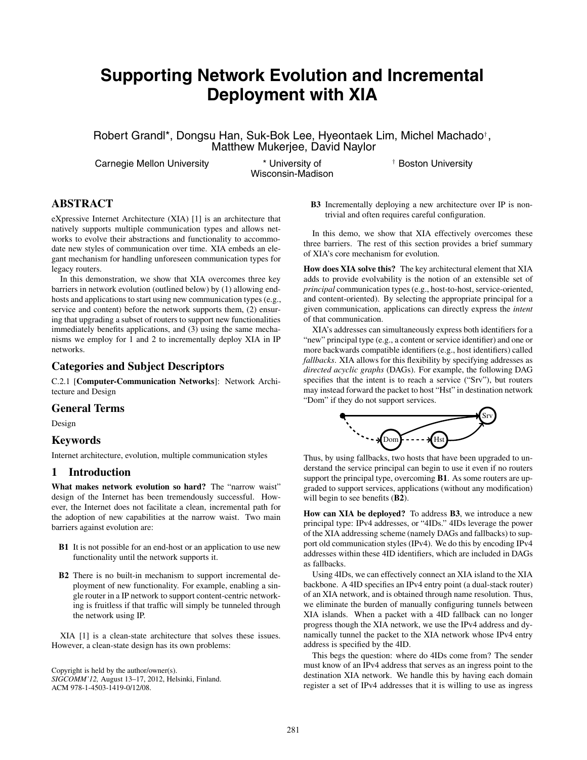# **Supporting Network Evolution and Incremental Deployment with XIA**

Robert Grandl\*, Dongsu Han, Suk-Bok Lee, Hyeontaek Lim, Michel Machado*†*, Matthew Mukerjee, David Naylor

Carnegie Mellon University \* University of

Wisconsin-Madison

*†* Boston University

# **ABSTRACT**

eXpressive Internet Architecture (XIA) [1] is an architecture that natively supports multiple communication types and allows networks to evolve their abstractions and functionality to accommodate new styles of communication over time. XIA embeds an elegant mechanism for handling unforeseen communication types for legacy routers.

In this demonstration, we show that XIA overcomes three key barriers in network evolution (outlined below) by (1) allowing endhosts and applications to start using new communication types (e.g., service and content) before the network supports them, (2) ensuring that upgrading a subset of routers to support new functionalities immediately benefits applications, and (3) using the same mechanisms we employ for 1 and 2 to incrementally deploy XIA in IP networks.

#### **Categories and Subject Descriptors**

C.2.1 [**Computer-Communication Networks**]: Network Architecture and Design

#### **General Terms**

Design

#### **Keywords**

Internet architecture, evolution, multiple communication styles

## **1 Introduction**

**What makes network evolution so hard?** The "narrow waist" design of the Internet has been tremendously successful. However, the Internet does not facilitate a clean, incremental path for the adoption of new capabilities at the narrow waist. Two main barriers against evolution are:

- **B1** It is not possible for an end-host or an application to use new functionality until the network supports it.
- **B2** There is no built-in mechanism to support incremental deployment of new functionality. For example, enabling a single router in a IP network to support content-centric networking is fruitless if that traffic will simply be tunneled through the network using IP.

XIA [1] is a clean-state architecture that solves these issues. However, a clean-state design has its own problems:

Copyright is held by the author/owner(s). *SIGCOMM'12,* August 13–17, 2012, Helsinki, Finland. ACM 978-1-4503-1419-0/12/08.

**B3** Incrementally deploying a new architecture over IP is nontrivial and often requires careful configuration.

In this demo, we show that XIA effectively overcomes these three barriers. The rest of this section provides a brief summary of XIA's core mechanism for evolution.

**How does XIA solve this?** The key architectural element that XIA adds to provide evolvability is the notion of an extensible set of *principal* communication types (e.g., host-to-host, service-oriented, and content-oriented). By selecting the appropriate principal for a given communication, applications can directly express the *intent* of that communication.

XIA's addresses can simultaneously express both identifiers for a "new" principal type (e.g., a content or service identifier) and one or more backwards compatible identifiers (e.g., host identifiers) called *fallbacks*. XIA allows for this flexibility by specifying addresses as *directed acyclic graphs* (DAGs). For example, the following DAG specifies that the intent is to reach a service ("Srv"), but routers may instead forward the packet to host "Hst" in destination network "Dom" if they do not support services.



Thus, by using fallbacks, two hosts that have been upgraded to understand the service principal can begin to use it even if no routers support the principal type, overcoming **B1**. As some routers are upgraded to support services, applications (without any modification) will begin to see benefits (**B2**).

**How can XIA be deployed?** To address **B3**, we introduce a new principal type: IPv4 addresses, or "4IDs." 4IDs leverage the power of the XIA addressing scheme (namely DAGs and fallbacks) to support old communication styles (IPv4). We do this by encoding IPv4 addresses within these 4ID identifiers, which are included in DAGs as fallbacks.

Using 4IDs, we can effectively connect an XIA island to the XIA backbone. A 4ID specifies an IPv4 entry point (a dual-stack router) of an XIA network, and is obtained through name resolution. Thus, we eliminate the burden of manually configuring tunnels between XIA islands. When a packet with a 4ID fallback can no longer progress though the XIA network, we use the IPv4 address and dynamically tunnel the packet to the XIA network whose IPv4 entry address is specified by the 4ID.

This begs the question: where do 4IDs come from? The sender must know of an IPv4 address that serves as an ingress point to the destination XIA network. We handle this by having each domain register a set of IPv4 addresses that it is willing to use as ingress